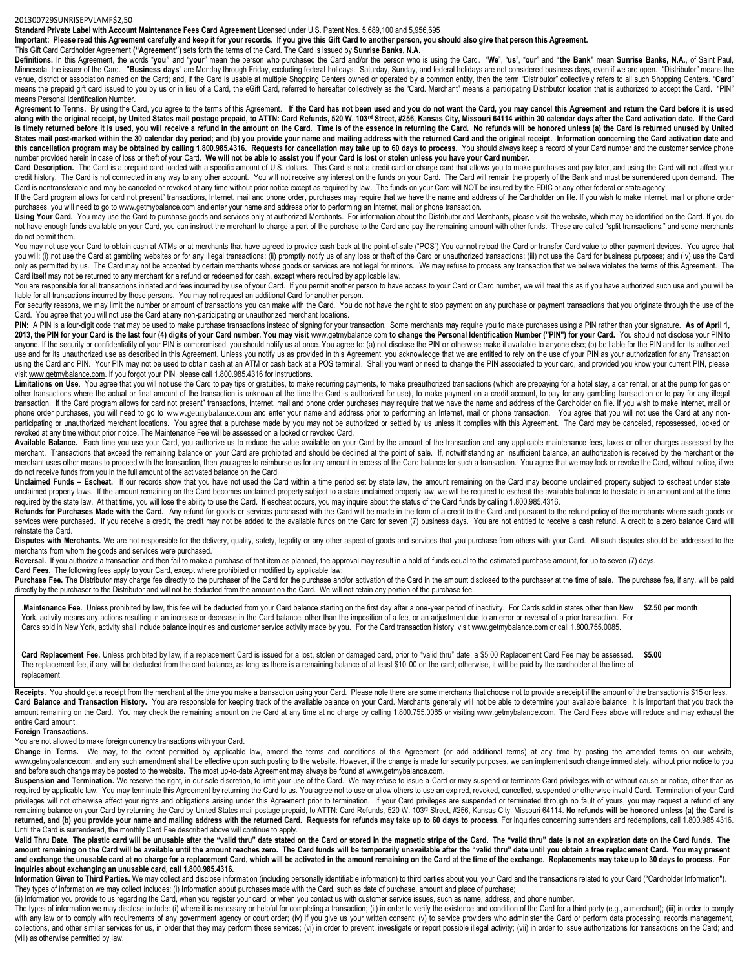## 201300729SUNRISEPVLAMF\$2,50

**Standard Private Label with Account Maintenance Fees Card Agreement** Licensed under U.S. Patent Nos. 5,689,100 and 5,956,695

**Important: Please read this Agreement carefully and keep it for your records. If you give this Gift Card to another person, you should also give that person this Agreement.**

This Gift Card Cardholder Agreement **("Agreement")** sets forth the terms of the Card. The Card is issued by **Sunrise Banks, N.A.**

Definitions. In this Agreement, the words "you" and "your" mean the person who purchased the Card and/or the person who is using the Card. "We", "us", "our" and "the Bank" mean Sunrise Banks, N.A., of Saint Paul, Minnesota, the issuer of the Card. "Business days" are Monday through Friday, excluding federal holidays. Saturday, Sunday, and federal holidays are not considered business days, even if we are open. "Distributor" means th venue, district or association named on the Card; and, if the Card is usable at multiple Shopping Centers owned or operated by a common entity, then the term "Distributor" collectively refers to all such Shopping Centers. means the prepaid gift card issued to you by us or in lieu of a Card, the eGift Card, referred to hereafter collectively as the "Card. Merchant" means a participating Distributor location that is authorized to accept the C means Personal Identification Number.

Agreement to Terms. By using the Card, you agree to the terms of this Agreement. If the Card has not been used and you do not want the Card, you may cancel this Agreement and return the Card before it is used along with the original receipt, by United States mail postage prepaid, to ATTN: Card Refunds, 520 W. 103rd Street, #256, Kansas City, Missouri 64114 within 30 calendar days after the Card activation date. If the Card is timely returned before it is used, you will receive a refund in the amount on the Card. Time is of the essence in returning the Card. No refunds will be honored unless (a) the Card is returned unused by United States mail post-marked within the 30 calendar day period; and (b) you provide your name and mailing address with the returned Card and the original receipt. Information concerning the Card activation date and **this cancellation program may be obtained by calling 1.800.985.4316. Requests for cancellation may take up to 60 days to process.** You should always keep a record of your Card number and the customer service phone number provided herein in case of loss or theft of your Card. **We will not be able to assist you if your Card is lost or stolen unless you have your Card number.**

Card Description. The Card is a prepaid card loaded with a specific amount of U.S. dollars. This Card is not a credit card or charge card that allows you to make purchases and pay later, and using the Card will not affect credit history. The Card is not connected in any way to any other account. You will not receive any interest on the funds on your Card. The Card will remain the property of the Bank and must be surrendered upon demand. The Card is nontransferable and may be canceled or revoked at any time without prior notice except as required by law. The funds on your Card will NOT be insured by the FDIC or any other federal or state agency.

If the Card program allows for card not present" transactions, Internet, mail and phone order, purchases may require that we have the name and address of the Cardholder on file. If you wish to make Internet, mail or phone purchases, you will need to go t[o www.getmybalance.com](http://www.getmybalance.com/) and enter your name and address prior to performing an Internet, mail or phone transaction.

Using Your Card. You may use the Card to purchase goods and services only at authorized Merchants. For information about the Distributor and Merchants, please visit the website, which may be identified on the Card. If you not have enough funds available on your Card, you can instruct the merchant to charge a part of the purchase to the Card and pay the remaining amount with other funds. These are called "split transactions," and some mercha do not permit them.

You may not use your Card to obtain cash at ATMs or at merchants that have agreed to provide cash back at the point-of-sale ("POS"). You cannot reload the Card or transfer Card value to other payment devices. You agree tha you will: (i) not use the Card at gambling websites or for any illegal transactions; (ii) promptly notify us of any loss or theft of the Card or unauthorized transactions; (iii) not use the Card for business purposes; and only as permitted by us. The Card may not be accepted by certain merchants whose goods or services are not legal for minors. We may refuse to process any transaction that we believe violates the terms of this Agreement. Th Card itself may not be returned to any merchant for a refund or redeemed for cash, except where required by applicable law.

You are responsible for all transactions initiated and fees incurred by use of your Card. If you permit another person to have access to your Card or Card number, we will treat this as if you have authorized such use and y liable for all transactions incurred by those persons. You may not request an additional Card for another person.

For security reasons, we may limit the number or amount of transactions you can make with the Card. You do not have the right to stop payment on any purchase or payment transactions that you originate through the use of th Card. You agree that you will not use the Card at any non-participating or unauthorized merchant locations.

PIN: A PIN is a four-digit code that may be used to make purchase transactions instead of signing for your transaction. Some merchants may require you to make purchases using a PIN rather than your signature. As of April 1 2013, the PIN for your Card is the last four (4) digits of your Card number. You may visit [www.getmybalance.com](http://www.getmybalance.com/) to change the Personal Identification Number ("PIN") for your Card. You should not disclose your PIN to anyone. If the security or confidentiality of your PIN is compromised, you should notify us at once. You agree to: (a) not disclose the PIN or otherwise make it available to anyone else; (b) be liable for the PIN and for i use and for its unauthorized use as described in this Agreement. Unless you notify us as provided in this Agreement, you acknowledge that we are entitled to rely on the use of your PIN as your authorization for any Transac using the Card and PIN. Your PIN may not be used to obtain cash at an ATM or cash back at a POS terminal. Shall you want or need to change the PIN associated to your card, and provided you know your current PIN, please visi[t www.getmybalance.com.](http://www.getmybalance.com/) If you forgot your PIN, please call 1.800.985.4316 for instructions.

Limitations on Use. You agree that you will not use the Card to pay tips or gratuities, to make recurring payments, to make preauthorized transactions (which are prepaying for a hotel stay, a car rental, or at the pump for other transactions where the actual or final amount of the transaction is unknown at the time the Card is authorized for use), to make payment on a credit account, to pay for any gambling transaction or to pay for any ille transaction. If the Card program allows for card not present" transactions, Internet, mail and phone order purchases may require that we have the name and address of the Cardholder on file. If you wish to make Internet, ma phone order purchases, you will need to go to [www.getmybalance.com](http://www.getmybalance.com/) and enter your name and address prior to performing an Internet, mail or phone transaction. You agree that you will not use the Card at any nonparticipating or unauthorized merchant locations. You agree that a purchase made by you may not be authorized or settled by us unless it complies with this Agreement. The Card may be canceled, repossessed, locked or revoked at any time without prior notice. The Maintenance Fee will be assessed on a locked or revoked Card.

**Available Balance.** Each time you use your Card, you authorize us to reduce the value available on your Card by the amount of the transaction and any applicable maintenance fees, taxes or other charges assessed by the merchant. Transactions that exceed the remaining balance on your Card are prohibited and should be declined at the point of sale. If, notwithstanding an insufficient balance, an authorization is received by the merchant or merchant uses other means to proceed with the transaction, then you agree to reimburse us for any amount in excess of the Card balance for such a transaction. You agree that we may lock or revoke the Card, without notice, do not receive funds from you in the full amount of the activated balance on the Card.

Unclaimed Funds - Escheat. If our records show that you have not used the Card within a time period set by state law, the amount remaining on the Card may become unclaimed property subject to escheat under state unclaimed property laws. If the amount remaining on the Card becomes unclaimed property subject to a state unclaimed property law, we will be required to escheat the available balance to the state in an amount and at the t required by the state law. At that time, you will lose the ability to use the Card. If escheat occurs, you may inquire about the status of the Card funds by calling 1.800.985.4316.

Refunds for Purchases Made with the Card. Any refund for goods or services purchased with the Card will be made in the form of a credit to the Card and pursuant to the refund policy of the merchants where such goods or services were purchased. If you receive a credit, the credit may not be added to the available funds on the Card for seven (7) business days. You are not entitled to receive a cash refund. A credit to a zero balance Card w reinstate the Card.

Disputes with Merchants. We are not responsible for the delivery, quality, safety, legality or any other aspect of goods and services that you purchase from others with your Card. All such disputes should be addressed to t merchants from whom the goods and services were purchased.

Reversal. If you authorize a transaction and then fail to make a purchase of that item as planned, the approval may result in a hold of funds equal to the estimated purchase amount, for up to seven (7) days.

**Card Fees.** The following fees apply to your Card, except where prohibited or modified by applicable law:

Purchase Fee. The Distributor may charge fee directly to the purchaser of the Card for the purchase and/or activation of the Card in the amount disclosed to the purchaser at the time of sale. The purchase fee, if any, will directly by the purchaser to the Distributor and will not be deducted from the amount on the Card. We will not retain any portion of the purchase fee.

| Maintenance Fee. Unless prohibited by law, this fee will be deducted from your Card balance starting on the first day after a one-year period of inactivity. For Cards sold in states other than New<br>York, activity means any actions resulting in an increase or decrease in the Card balance, other than the imposition of a fee, or an adjustment due to an error or reversal of a prior transaction. For<br>Cards sold in New York, activity shall include balance inquiries and customer service activity made by you. For the Card transaction history, visit www.getmybalance.com or call 1.800.755.0085. | \$2.50 per month |  |
|---------------------------------------------------------------------------------------------------------------------------------------------------------------------------------------------------------------------------------------------------------------------------------------------------------------------------------------------------------------------------------------------------------------------------------------------------------------------------------------------------------------------------------------------------------------------------------------------------------------------|------------------|--|
| Card Replacement Fee. Unless prohibited by law, if a replacement Card is issued for a lost, stolen or damaged card, prior to "valid thru" date, a \$5.00 Replacement Card Fee may be assessed.<br>The replacement fee, if any, will be deducted from the card balance, as long as there is a remaining balance of at least \$10.00 on the card; otherwise, it will be paid by the cardholder at the time of<br>replacement.                                                                                                                                                                                         | \$5.00           |  |

Receipts. You should get a receipt from the merchant at the time you make a transaction using your Card. Please note there are some merchants that choose not to provide a receipt if the amount of the transaction is \$15 or Card Balance and Transaction History. You are responsible for keeping track of the available balance on your Card. Merchants generally will not be able to determine your available balance. It is important that you track th amount remaining on the Card. You may check the remaining amount on the Card at any time at no charge by calling 1.800.755.0085 or visiting www.getmybalance.com. The Card Fees above will reduce and may exhaust the entire Card amount.

## **Foreign Transactions.**

You are not allowed to make foreign currency transactions with your Card.

Change in Terms. We may, to the extent permitted by applicable law, amend the terms and conditions of this Agreement (or add additional terms) at any time by posting the amended terms on our website, www.getmybalance.com, and any such amendment shall be effective upon such posting to the website. However, if the change is made for security purposes, we can implement such change immediately, without prior notice to you and before such change may be posted to the website. The most up-to-date Agreement may always be found at www.getmybalance.com.

Suspension and Termination. We reserve the right, in our sole discretion, to limit your use of the Card. We may refuse to issue a Card or may suspend or terminate Card privileges with or without cause or notice, other than required by applicable law. You may terminate this Agreement by returning the Card to us. You agree not to use or allow others to use an expired, revoked, cancelled, suspended or otherwise invalid Card. Termination of your privileges will not otherwise affect your rights and obligations arising under this Agreement prior to termination. If your Card privileges are suspended or terminated through no fault of yours, you may request a refund of remaining balance on your Card by returning the Card by United States mail postage prepaid, to ATTN: Card Refunds, 520 W. 103<sup>rd</sup> Street, #256, Kansas City, Missouri 64114. No refunds will be honored unless (a) the Card is returned, and (b) you provide your name and mailing address with the returned Card. Requests for refunds may take up to 60 days to process. For inquiries concerning surrenders and redemptions, call 1.800.985.4316. Until the Card is surrendered, the monthly Card Fee described above will continue to apply.

Valid Thru Date. The plastic card will be unusable after the "valid thru" date stated on the Card or stored in the magnetic stripe of the Card. The "valid thru" date is not an expiration date on the Card funds. The Sard fu amount remaining on the Card will be available until the amount reaches zero. The Card funds will be temporarily unavailable after the "valid thru" date until you obtain a free replacement Card. You may present and exchange the unusable card at no charge for a replacement Card, which will be activated in the amount remaining on the Card at the time of the exchange. Replacements may take up to 30 days to process. For **inquiries about exchanging an unusable card, call 1.800.985.4316.** 

Information Given to Third Parties. We may collect and disclose information (including personally identifiable information) to third parties about you, your Card and the transactions related to your Card ("Cardholder Infor They types of information we may collect includes: (i) Information about purchases made with the Card, such as date of purchase, amount and place of purchase;

(ii) Information you provide to us regarding the Card, when you register your card, or when you contact us with customer service issues, such as name, address, and phone number.

The types of information we may disclose include: (i) where it is necessary or helpful for completing a transaction; (ii) in order to verify the existence and condition of the Card for a third party (e.g., a merchant); (ii with any law or to comply with requirements of any government agency or court order; (iv) if you give us your written consent; (v) to service providers who administer the Card or perform data processing, records management collections, and other similar services for us, in order that they may perform those services; (vi) in order to prevent, investigate or report possible illegal activity; (vii) in order to issue authorizations for transacti (viii) as otherwise permitted by law.